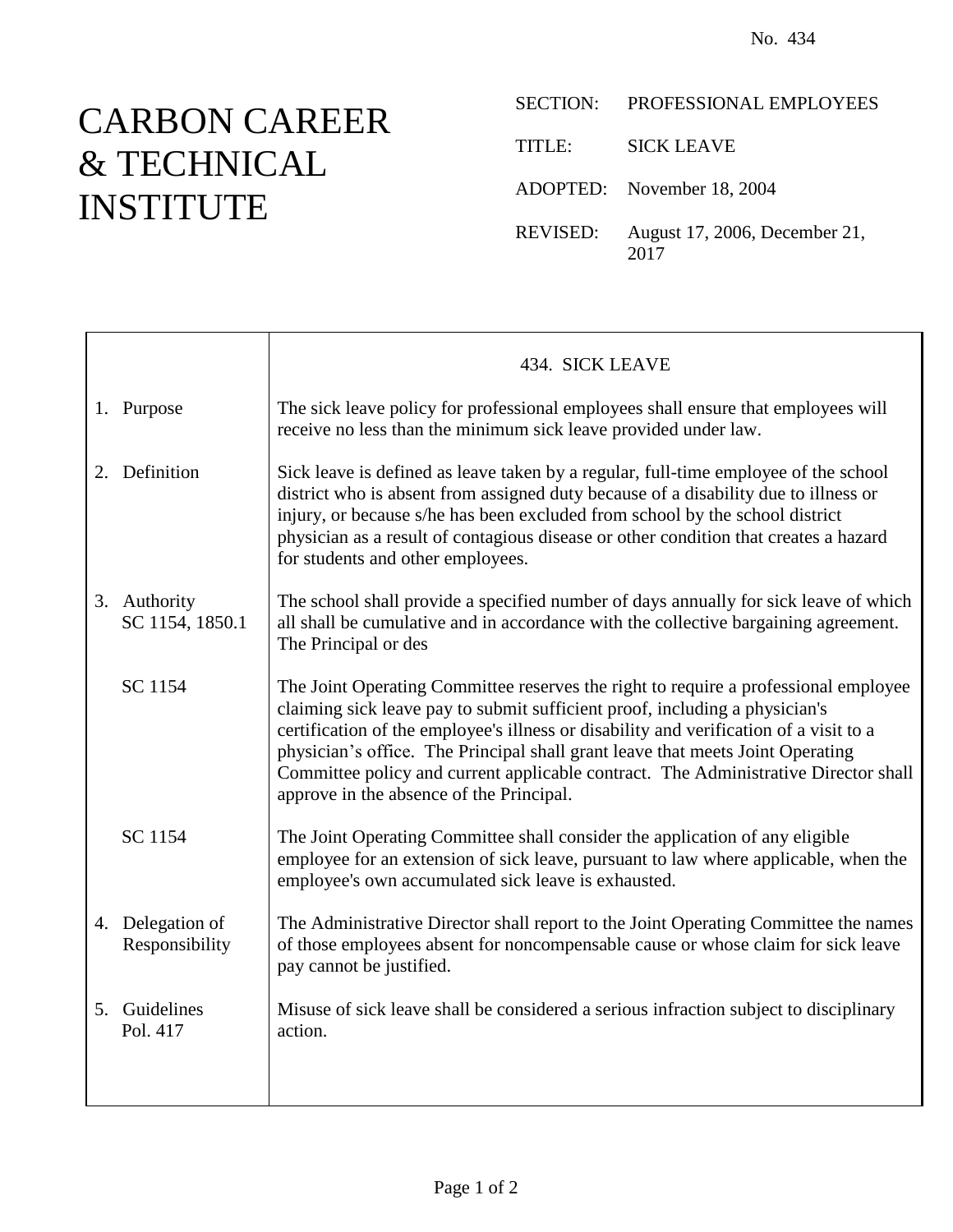## CARBON CAREER & TECHNICAL INSTITUTE

|          | SECTION: PROFESSIONAL EMPLOYEES       |
|----------|---------------------------------------|
| TITLE:   | <b>SICK LEAVE</b>                     |
|          | ADOPTED: November 18, 2004            |
| REVISED: | August 17, 2006, December 21,<br>2017 |

|                                    | 434. SICK LEAVE                                                                                                                                                                                                                                                                                                                                                                                                                                                                   |
|------------------------------------|-----------------------------------------------------------------------------------------------------------------------------------------------------------------------------------------------------------------------------------------------------------------------------------------------------------------------------------------------------------------------------------------------------------------------------------------------------------------------------------|
| 1. Purpose                         | The sick leave policy for professional employees shall ensure that employees will<br>receive no less than the minimum sick leave provided under law.                                                                                                                                                                                                                                                                                                                              |
| 2. Definition                      | Sick leave is defined as leave taken by a regular, full-time employee of the school<br>district who is absent from assigned duty because of a disability due to illness or<br>injury, or because s/he has been excluded from school by the school district<br>physician as a result of contagious disease or other condition that creates a hazard<br>for students and other employees.                                                                                           |
| 3. Authority<br>SC 1154, 1850.1    | The school shall provide a specified number of days annually for sick leave of which<br>all shall be cumulative and in accordance with the collective bargaining agreement.<br>The Principal or des                                                                                                                                                                                                                                                                               |
| SC 1154                            | The Joint Operating Committee reserves the right to require a professional employee<br>claiming sick leave pay to submit sufficient proof, including a physician's<br>certification of the employee's illness or disability and verification of a visit to a<br>physician's office. The Principal shall grant leave that meets Joint Operating<br>Committee policy and current applicable contract. The Administrative Director shall<br>approve in the absence of the Principal. |
| SC 1154                            | The Joint Operating Committee shall consider the application of any eligible<br>employee for an extension of sick leave, pursuant to law where applicable, when the<br>employee's own accumulated sick leave is exhausted.                                                                                                                                                                                                                                                        |
| 4. Delegation of<br>Responsibility | The Administrative Director shall report to the Joint Operating Committee the names<br>of those employees absent for noncompensable cause or whose claim for sick leave<br>pay cannot be justified.                                                                                                                                                                                                                                                                               |
| 5. Guidelines<br>Pol. 417          | Misuse of sick leave shall be considered a serious infraction subject to disciplinary<br>action.                                                                                                                                                                                                                                                                                                                                                                                  |
|                                    |                                                                                                                                                                                                                                                                                                                                                                                                                                                                                   |